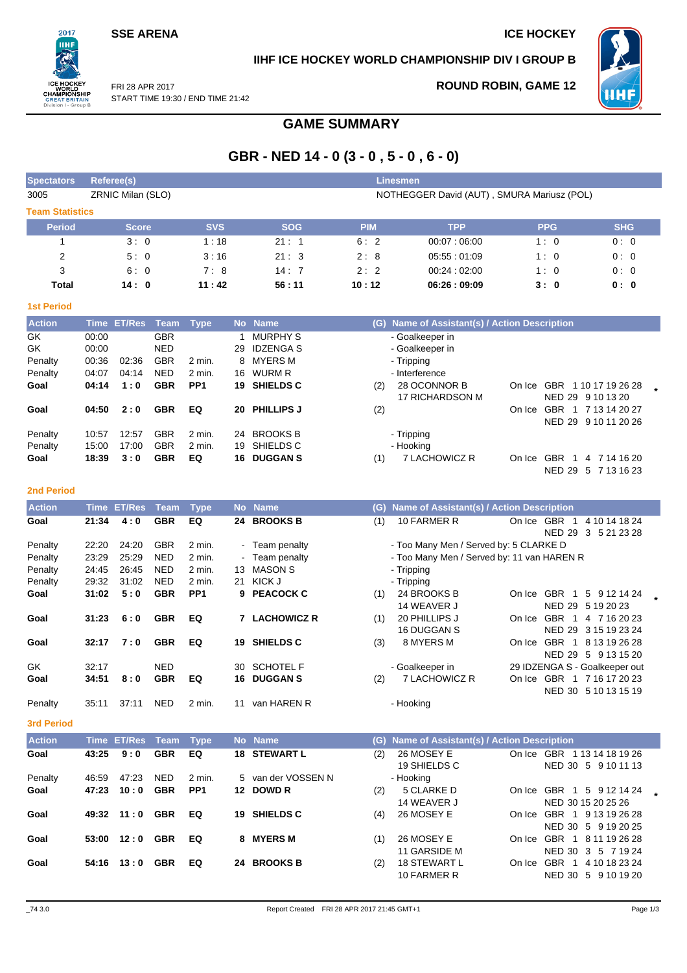## **SSE ARENA ICE HOCKEY**

 $2017$ пні

**REATI** on I - Group FRI 28 APR 2017

### **IIHF ICE HOCKEY WORLD CHAMPIONSHIP DIV I GROUP B**

**ROUND ROBIN, GAME 12**



START TIME 19:30 / END TIME 21:42

# **GAME SUMMARY**

## **GBR - NED 14 - 0 (3 - 0 , 5 - 0 , 6 - 0)**

| <b>Spectators</b>      | Referee(s)<br><b>Linesmen</b> |                                            |            |            |             |            |            |  |  |  |  |
|------------------------|-------------------------------|--------------------------------------------|------------|------------|-------------|------------|------------|--|--|--|--|
| 3005                   | ZRNIC Milan (SLO)             | NOTHEGGER David (AUT), SMURA Mariusz (POL) |            |            |             |            |            |  |  |  |  |
| <b>Team Statistics</b> |                               |                                            |            |            |             |            |            |  |  |  |  |
| <b>Period</b>          | <b>Score</b>                  | <b>SVS</b>                                 | <b>SOG</b> | <b>PIM</b> | <b>TPP</b>  | <b>PPG</b> | <b>SHG</b> |  |  |  |  |
|                        | 3:0                           | 1:18                                       | 21:1       | 6:2        | 00.07:06.00 | 1:0        | 0:0        |  |  |  |  |
| 2                      | 5:0                           | 3:16                                       | 21:3       | 2:8        | 05.55:01.09 | 1:0        | 0:0        |  |  |  |  |
| 3                      | 6:0                           | 7:8                                        | 14:7       | 2:2        | 00.24:02:00 | 1:0        | 0:0        |  |  |  |  |
| Total                  | 14:0                          | 11:42                                      | 56:11      | 10:12      | 06:26:09:09 | 3:0        | 0:0        |  |  |  |  |
| <b>1st Period</b>      |                               |                                            |            |            |             |            |            |  |  |  |  |

| <b>Action</b> |       | Time ET/Res | Team       | <b>Type</b>     |     | No Name           | (G) | Name of Assistant(s) / Action Description |        |                               |  |
|---------------|-------|-------------|------------|-----------------|-----|-------------------|-----|-------------------------------------------|--------|-------------------------------|--|
| GK.           | 00:00 |             | <b>GBR</b> |                 |     | <b>MURPHY S</b>   |     | - Goalkeeper in                           |        |                               |  |
| GK.           | 00:00 |             | <b>NED</b> |                 | 29  | <b>IDZENGA S</b>  |     | - Goalkeeper in                           |        |                               |  |
| Penalty       | 00:36 | 02:36       | <b>GBR</b> | 2 min.          | 8   | MYERS M           |     | - Tripping                                |        |                               |  |
| Penalty       | 04:07 | 04:14       | <b>NED</b> | 2 min.          | 16. | WURM R            |     | - Interference                            |        |                               |  |
| Goal          | 04:14 | 1:0         | <b>GBR</b> | PP <sub>1</sub> | 19. | <b>SHIELDS C</b>  | (2) | 28 OCONNOR B                              | On Ice | 1 10 17 19 26 28<br>GBR       |  |
|               |       |             |            |                 |     |                   |     | 17 RICHARDSON M                           |        | NED 29 9 10 13 20             |  |
| Goal          | 04:50 | 2:0         | <b>GBR</b> | EQ              | 20  | <b>PHILLIPS J</b> | (2) |                                           | On Ice | <b>GBR</b><br>1 7 13 14 20 27 |  |
|               |       |             |            |                 |     |                   |     |                                           |        | NED 29 9 10 11 20 26          |  |
| Penalty       | 10:57 | 12:57       | <b>GBR</b> | $2$ min.        | 24  | <b>BROOKS B</b>   |     | - Tripping                                |        |                               |  |
| Penalty       | 15:00 | 17:00       | <b>GBR</b> | $2$ min.        | 19  | SHIELDS C         |     | - Hooking                                 |        |                               |  |
| Goal          | 18:39 | 3:0         | <b>GBR</b> | EQ              | 16  | <b>DUGGAN S</b>   | (1) | 7 LACHOWICZ R                             | On Ice | <b>GBR</b><br>7 14 16 20<br>4 |  |
|               |       |             |            |                 |     |                   |     |                                           |        | <b>NED 29</b><br>5 7 13 16 23 |  |

#### **2nd Period**

| <b>Action</b>            | Time        | <b>ET/Res</b>  | <b>Team</b> | <b>Type</b>     |           | No Name                     | (G)    | Name of Assistant(s) / Action Description  |        |                                                                                |
|--------------------------|-------------|----------------|-------------|-----------------|-----------|-----------------------------|--------|--------------------------------------------|--------|--------------------------------------------------------------------------------|
| Goal                     | 21:34       | 4:0            | <b>GBR</b>  | EQ              |           | 24 BROOKS B                 | (1)    | 10 FARMER R                                |        | On Ice GBR<br>4 10 14 18 24<br>$\overline{1}$<br><b>NED 29</b><br>3 5 21 23 28 |
| Penalty                  | 22:20       | 24:20          | <b>GBR</b>  | 2 min.          |           | - Team penalty              |        | - Too Many Men / Served by: 5 CLARKE D     |        |                                                                                |
| Penalty                  | 23:29       | 25.29          | <b>NED</b>  | 2 min.          |           | - Team penalty              |        | - Too Many Men / Served by: 11 van HAREN R |        |                                                                                |
| Penalty                  | 24:45       | 26:45          | <b>NED</b>  | 2 min.          | 13.       | <b>MASON S</b>              |        | - Tripping                                 |        |                                                                                |
| Penalty                  | 29:32       | 31:02          | <b>NED</b>  | $2$ min.        | 21        | KICK J                      |        | - Tripping                                 |        |                                                                                |
| Goal                     | 31:02       | 5:0            | <b>GBR</b>  | PP <sub>1</sub> | 9         | <b>PEACOCK C</b>            | (1)    | 24 BROOKS B<br>14 WEAVER J                 |        | On Ice GBR 1<br>5 9 12 14 24<br>NED 29 5 19 20 23                              |
| Goal                     | 31:23       | 6:0            | <b>GBR</b>  | EQ              | 7         | <b>LACHOWICZ R</b>          | (1)    | 20 PHILLIPS J<br>16 DUGGAN S               | On Ice | GBR 1<br>4 7 16 20 23<br>NED 29 3 15 19 23 24                                  |
| Goal                     | 32:17       | 7:0            | <b>GBR</b>  | EQ              | 19        | <b>SHIELDS C</b>            | (3)    | 8 MYERS M                                  | On Ice | GBR 1<br>8 13 19 26 28<br><b>NED 29</b><br>5 9 13 15 20                        |
| GK                       | 32:17       |                | <b>NED</b>  |                 | 30        | <b>SCHOTEL F</b>            |        | - Goalkeeper in                            |        | 29 IDZENGA S - Goalkeeper out                                                  |
| Goal                     | 34:51       | 8:0            | <b>GBR</b>  | EQ              | 16        | <b>DUGGAN S</b>             | (2)    | 7 LACHOWICZ R                              |        | On Ice GBR 1 7 16 17 20 23<br>NED 30 5 10 13 15 19                             |
| Penalty                  | 35:11       | 37:11          | <b>NED</b>  | 2 min.          | 11        | van HAREN R                 |        | - Hooking                                  |        |                                                                                |
| <b>3rd Period</b>        |             |                |             |                 |           |                             |        |                                            |        |                                                                                |
| <b>Action</b>            | <b>Time</b> | <b>ET/Res</b>  | <b>Team</b> | <b>Type</b>     | <b>No</b> | <b>Name</b>                 | (G)    | Name of Assistant(s) / Action Description  |        |                                                                                |
| Goal                     | 43:25       | 9:0            | <b>GBR</b>  | EQ              | 18        | <b>STEWART L</b>            | (2)    | 26 MOSEY E<br>19 SHIELDS C                 |        | On Ice GBR 1 13 14 18 19 26<br>NED 30 5 9 10 11 13                             |
| Penalty                  | 46:59       | 47:23          | <b>NED</b>  | 2 min.          | 5         | van der VOSSEN N            |        | - Hooking                                  |        |                                                                                |
| $\sim$ - $\sim$ - $\sim$ | 17.00       | $\overline{a}$ | $\sim$ nn   | <b>DD</b> 4     |           | $\overline{A}$ <b>DOMPD</b> | $\sim$ | <b>COLADIZED</b>                           |        | $Q_{\text{min}}$ $Q_{\text{DD}}$ $A$ $F$ $Q_{\text{max}}$ $A$ $Q$ $A$          |

**Goal 47:23 10:0 GBR PP1 12 DOWD R** (2) 5 CLARKE D 14 WEAVER J On Ice GBR 1 5 9 12 14 24 **\*** NED 30 15 20 25 26 **Goal 49:32 11:0 GBR EQ 19 SHIELDS C** (4) 26 MOSEY E On Ice GBR 1 9 13 19 26 28 NED 30 5 9 19 20 25 **Goal 53:00 12 : 0 GBR EQ 8 MYERS M** (1) 26 MOSEY E 11 GARSIDE M On Ice GBR 1 8 11 19 26 28 NED 30 3 5 7 19 24 **Goal 54:16 13 : 0 GBR EQ 24 BROOKS B** (2) 18 STEWART L On Ice GBR 1 4 10 18 23 24

10 FARMER R

NED 30 5 9 10 19 20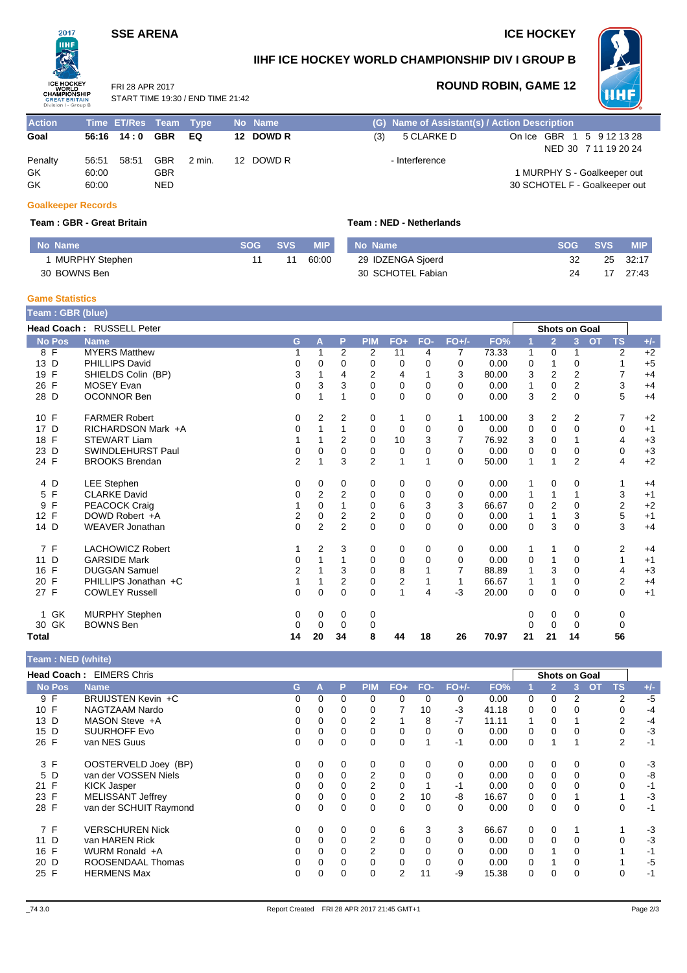## **SSE ARENA ICE HOCKEY**



# **IIHF ICE HOCKEY WORLD CHAMPIONSHIP DIV I GROUP B**



FRI 28 APR 2017 START TIME 19:30 / END TIME 21:42

## **ROUND ROBIN, GAME 12**

| <b>Action</b> |       | Time ET/Res Team Type |            |        | No Name   |     | (G) Name of Assistant(s) / Action Description |                               |
|---------------|-------|-----------------------|------------|--------|-----------|-----|-----------------------------------------------|-------------------------------|
| Goal          |       | 56:16 14:0 GBR EQ     |            |        | 12 DOWD R | (3) | 5 CLARKE D                                    | On Ice GBR 1 5 9 12 13 28     |
|               |       |                       |            |        |           |     |                                               | NED 30 7 11 19 20 24          |
| Penalty       | 56:51 | 58:51                 | GBR        | 2 min. | 12 DOWD R |     | - Interference                                |                               |
| GK            | 60:00 |                       | <b>GBR</b> |        |           |     |                                               | 1 MURPHY S - Goalkeeper out   |
| GK            | 60:00 |                       | NED.       |        |           |     |                                               | 30 SCHOTEL F - Goalkeeper out |

I

### **Goalkeeper Records**

### **Team : GBR - Great Britain Team : NED - Netherlands**

| No Name          |    | SOG SVS | <b>MIP</b> |
|------------------|----|---------|------------|
| 1 MURPHY Stephen | 11 | 11      | 60:00      |
| 30 BOWNS Ben     |    |         |            |

| No Name           |      | <b>ISOG SVS MIP</b> |          |
|-------------------|------|---------------------|----------|
| 29 IDZENGA Sjoerd | -32- |                     | 25 32:17 |
| 30 SCHOTEL Fabian | -24  |                     | 17 27:43 |

#### **Game Statistics**

| Team: GBR (blue)   |                           |                |                |                |                |                         |             |          |        |             |                      |                |           |                         |       |
|--------------------|---------------------------|----------------|----------------|----------------|----------------|-------------------------|-------------|----------|--------|-------------|----------------------|----------------|-----------|-------------------------|-------|
|                    | Head Coach: RUSSELL Peter |                |                |                |                |                         |             |          |        |             | <b>Shots on Goal</b> |                |           |                         |       |
| <b>No Pos</b>      | <b>Name</b>               | G              | A              | P              | <b>PIM</b>     | $FO+$                   | FO-         | $FO+/-$  | FO%    |             | $\overline{2}$       | 3              | <b>OT</b> | <b>TS</b>               | $+/-$ |
| 8 F                | <b>MYERS Matthew</b>      |                | 1              | $\overline{2}$ | 2              | 11                      | 4           | 7        | 73.33  | 1           | 0                    | 1              |           | 2                       | $+2$  |
| 13 D               | PHILLIPS David            | 0              | 0              | 0              | 0              | 0                       | 0           | 0        | 0.00   | 0           |                      | 0              |           | 1                       | $+5$  |
| $\mathsf{F}$<br>19 | SHIELDS Colin (BP)        | 3              |                | 4              | 2              | 4                       |             | 3        | 80.00  | 3           | 2                    | 2              |           | 7                       | $+4$  |
| 26 F               | <b>MOSEY Evan</b>         | $\mathbf 0$    | 3              | 3              | $\Omega$       | $\mathbf 0$             | $\Omega$    | $\Omega$ | 0.00   | 1           | 0                    | $\overline{2}$ |           | 3                       | $+4$  |
| 28 D               | <b>OCONNOR Ben</b>        | 0              |                |                | 0              | $\mathbf 0$             | $\mathbf 0$ | $\Omega$ | 0.00   | 3           | 2                    | $\mathbf 0$    |           | 5                       | $+4$  |
| 10 F               | <b>FARMER Robert</b>      | 0              | 2              | 2              | 0              | 1                       | 0           | 1        | 100.00 | 3           | 2                    | 2              |           | 7                       | $+2$  |
| 17<br>D            | RICHARDSON Mark +A        | 0              |                | 1              | 0              | 0                       | $\Omega$    | $\Omega$ | 0.00   | 0           | 0                    | $\Omega$       |           | 0                       | $+1$  |
| F<br>18            | <b>STEWART Liam</b>       |                |                | 2              | $\Omega$       | 10                      | 3           | 7        | 76.92  | 3           | $\Omega$             |                |           | 4                       | $+3$  |
| D<br>23            | SWINDLEHURST Paul         | 0              | 0              | 0              | 0              | 0                       | 0           | 0        | 0.00   | 0           | 0                    | $\mathbf 0$    |           | 0                       | $+3$  |
| 24 F               | <b>BROOKS Brendan</b>     | $\overline{2}$ | 1              | 3              | $\overline{2}$ | $\mathbf{1}$            |             | $\Omega$ | 50.00  | 1           |                      | $\overline{2}$ |           | 4                       | $+2$  |
| 4 D                | LEE Stephen               | 0              | 0              | 0              | 0              | 0                       | 0           | 0        | 0.00   | 1           | 0                    | 0              |           |                         | $+4$  |
| F<br>5             | <b>CLARKE David</b>       | 0              | 2              | $\overline{2}$ | 0              | 0                       | $\mathbf 0$ | 0        | 0.00   | 1           |                      | 1              |           | 3                       | $+1$  |
| F<br>9             | PEACOCK Craig             |                | $\Omega$       |                | $\Omega$       | 6                       | 3           | 3        | 66.67  | 0           | 2                    | $\Omega$       |           | 2                       | $+2$  |
| 12 F               | DOWD Robert +A            | 2              | 0              | 2              | 2              | $\pmb{0}$               | 0           | 0        | 0.00   | 1           |                      | 3              |           | 5                       | $+1$  |
| 14 D               | <b>WEAVER Jonathan</b>    | $\Omega$       | $\overline{2}$ | $\overline{2}$ | $\Omega$       | $\Omega$                | $\Omega$    | $\Omega$ | 0.00   | $\mathbf 0$ | 3                    | $\Omega$       |           | 3                       | $+4$  |
| 7 F                | <b>LACHOWICZ Robert</b>   |                | 2              | 3              | 0              | 0                       | 0           | 0        | 0.00   | 1           |                      | 0              |           | $\overline{\mathbf{c}}$ | $+4$  |
| 11 D               | <b>GARSIDE Mark</b>       | 0              |                |                | 0              | 0                       | $\Omega$    | $\Omega$ | 0.00   | 0           |                      | $\mathbf 0$    |           | 1                       | $+1$  |
| F<br>16            | <b>DUGGAN Samuel</b>      | 2              |                | 3              | 0              | 8                       |             | 7        | 88.89  | 1           | 3                    | $\mathbf{0}$   |           | 4                       | $+3$  |
| $\mathsf{F}$<br>20 | PHILLIPS Jonathan +C      |                |                | $\overline{2}$ | 0              | $\overline{\mathbf{c}}$ |             | 1        | 66.67  | 1           |                      | $\mathbf 0$    |           | $\mathbf 2$             | $+4$  |
| 27 F               | <b>COWLEY Russell</b>     | $\Omega$       | 0              | $\mathbf 0$    | $\mathbf 0$    | 1                       | 4           | $-3$     | 20.00  | $\mathbf 0$ | 0                    | $\Omega$       |           | $\mathbf 0$             | $+1$  |
| 1 GK               | <b>MURPHY Stephen</b>     | 0              | 0              | 0              | 0              |                         |             |          |        | 0           | 0                    | 0              |           | 0                       |       |
| GK<br>30           | <b>BOWNS Ben</b>          | 0              | 0              | 0              | 0              |                         |             |          |        | $\Omega$    | 0                    | 0              |           | 0                       |       |
| Total              |                           | 14             | 20             | 34             | 8              | 44                      | 18          | 26       | 70.97  | 21          | 21                   | 14             |           | 56                      |       |

| Team: NED (white) |  |
|-------------------|--|
|-------------------|--|

|               | <b>Head Coach: EIMERS Chris</b> |    |          |          |                |       |     |          |       |          |                | <b>Shots on Goal</b> |    |           |       |
|---------------|---------------------------------|----|----------|----------|----------------|-------|-----|----------|-------|----------|----------------|----------------------|----|-----------|-------|
| <b>No Pos</b> | <b>Name</b>                     | G. | А        | P        | <b>PIM</b>     | $FO+$ | FO- | $FO+/-$  | FO%   |          | $\overline{2}$ | 3                    | OT | <b>TS</b> | $+/-$ |
| 9 F           | BRUIJSTEN Kevin +C              |    | 0        | $\Omega$ | 0              | 0     | 0   | $\Omega$ | 0.00  | 0        | $\Omega$       | 2                    |    | 2         | $-5$  |
| 10 F          | NAGTZAAM Nardo                  | 0  | 0        | 0        | 0              |       | 10  | $-3$     | 41.18 | 0        | 0              | 0                    |    |           | $-4$  |
| 13 D          | MASON Steve +A                  | 0  | 0        | 0        | $\overline{2}$ |       | 8   | $-7$     | 11.11 |          | 0              |                      |    | 2         | $-4$  |
| 15 D          | <b>SUURHOFF Evo</b>             | 0  | 0        | $\Omega$ |                | 0     | 0   | 0        | 0.00  | 0        | 0              | 0                    |    | 0         | -3    |
| 26 F          | van NES Guus                    | 0  | 0        | 0        | 0              | 0     |     | $-1$     | 0.00  | 0        |                |                      |    | 2         | $-1$  |
| 3 F           | OOSTERVELD Joey (BP)            | 0  | 0        | 0        | 0              | 0     | 0   | 0        | 0.00  | 0        | 0              | 0                    |    | 0         | $-3$  |
| 5 D           | van der VOSSEN Niels            | 0  | $\Omega$ |          | 2              | 0     | 0   | 0        | 0.00  | 0        | 0              | 0                    |    | 0         | -8    |
| 21 F          | <b>KICK Jasper</b>              | 0  | $\Omega$ | $\Omega$ | $\overline{2}$ | 0     |     | $-1$     | 0.00  | 0        | $\Omega$       |                      |    | 0         | -1    |
| 23 F          | <b>MELISSANT Jeffrey</b>        | 0  | 0        | 0        | 0              | 2     | 10  | -8       | 16.67 | 0        | 0              |                      |    |           | $-3$  |
| 28 F          | van der SCHUIT Raymond          | 0  | 0        | 0        | 0              | 0     | 0   | $\Omega$ | 0.00  | 0        | 0              | $\Omega$             |    | 0         | $-1$  |
| 7 F           | VERSCHUREN Nick                 | 0  | $\Omega$ | $\Omega$ |                | 6     | 3   | 3        | 66.67 | $\Omega$ | $\Omega$       |                      |    |           | -3    |
| 11 D          | van HAREN Rick                  |    | 0        |          | 2              | 0     | 0   | 0        | 0.00  | 0        | $\Omega$       | 0                    |    | 0         | -3    |
| F<br>16       | WURM Ronald +A                  |    | $\Omega$ |          | $\overline{2}$ | 0     |     | 0        | 0.00  | 0        |                | 0                    |    |           | -1    |
| 20 D          | ROOSENDAAL Thomas               | 0  | $\Omega$ | 0        | 0              | 0     | 0   | $\Omega$ | 0.00  | 0        |                | 0                    |    |           | -5    |
| 25 F          | <b>HERMENS Max</b>              | 0  | $\Omega$ | 0        | 0              | 2     | 11  | -9       | 15.38 | 0        | 0              | $\Omega$             |    | 0         | $-1$  |